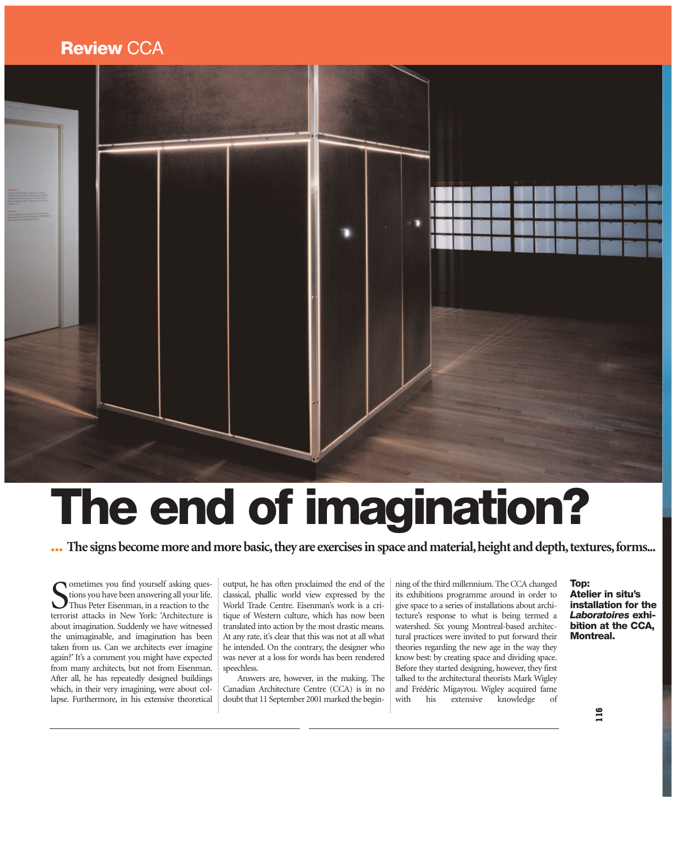## **Review CCA**



## The end of imagination?

**...** The signs become more and more basic, they are exercises in space and material, height and depth, textures, forms...

terrorist attacks in New York: 'Architecture is about imagination. Suddenly we have witnessed the unimaginable, and imagination has been taken from us. Can we architects ever imagine again?' It's a comment you might have expected from many architects, but not from Eisenman. After all, he has repeatedly designed buildings which, in their very imagining, were about collapse. Furthermore, in his extensive theoretical **S**ometimes you find yourself asking questions you have been answering all your life.<br>Thus Peter Eisenman, in a reaction to the terrorist attacks in New York: 'Architecture is

output, he has often proclaimed the end of the classical, phallic world view expressed by the World Trade Centre. Eisenman's work is a critique of Western culture, which has now been translated into action by the most drastic means. At any rate, it's clear that this was not at all what he intended. On the contrary, the designer who was never at a loss for words has been rendered speechless.

Answers are, however, in the making. The Canadian Architecture Centre (CCA) is in no doubt that 11 September 2001 marked the beginning of the third millennium. The CCA changed its exhibitions programme around in order to give space to a series of installations about architecture's response to what is being termed a watershed. Six young Montreal-based architectural practices were invited to put forward their theories regarding the new age in the way they know best: by creating space and dividing space. Before they started designing, however, they first talked to the architectural theorists Mark Wigley and Frédéric Migayrou. Wigley acquired fame with his extensive knowledge of

## Top: Atelier in situ's installation for the *Laboratoires* exhibition at the CCA, Montreal.